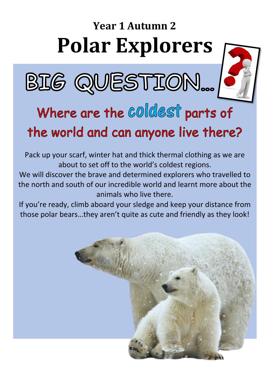# **Year 1 Autumn 2 Polar Explorers**





## Where are the COICLEST parts of the world and can anyone live there?

Pack up your scarf, winter hat and thick thermal clothing as we are about to set off to the world's coldest regions.

We will discover the brave and determined explorers who travelled to the north and south of our incredible world and learnt more about the animals who live there.

If you're ready, climb aboard your sledge and keep your distance from those polar bears…they aren't quite as cute and friendly as they look!

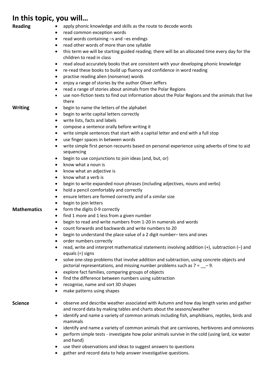## **In this topic, you will…**

| <b>Reading</b><br>٠                              | apply phonic knowledge and skills as the route to decode words                                                               |
|--------------------------------------------------|------------------------------------------------------------------------------------------------------------------------------|
| $\bullet$<br>$\bullet$<br>$\bullet$<br>$\bullet$ | read common exception words                                                                                                  |
|                                                  | read words containing -s and -es endings                                                                                     |
|                                                  | read other words of more than one syllable                                                                                   |
|                                                  | this term we will be starting guided reading; there will be an allocated time every day for the<br>children to read in class |
| $\bullet$                                        | read aloud accurately books that are consistent with your developing phonic knowledge                                        |
| $\bullet$<br>٠<br>٠                              | re-read these books to build up fluency and confidence in word reading                                                       |
|                                                  | practise reading alien (nonsense) words                                                                                      |
|                                                  | enjoy a range of stories by the author Oliver Jeffers                                                                        |
| $\bullet$                                        | read a range of stories about animals from the Polar Regions                                                                 |
| $\bullet$                                        | use non-fiction texts to find out information about the Polar Regions and the animals that live                              |
|                                                  | there                                                                                                                        |
| <b>Writing</b><br>$\bullet$                      | begin to name the letters of the alphabet                                                                                    |
| $\bullet$                                        | begin to write capital letters correctly                                                                                     |
|                                                  | write lists, facts and labels                                                                                                |
| $\bullet$                                        |                                                                                                                              |
| $\bullet$                                        | compose a sentence orally before writing it                                                                                  |
| $\bullet$                                        | write simple sentences that start with a capital letter and end with a full stop                                             |
| ٠                                                | use finger spaces in between words                                                                                           |
| $\bullet$                                        | write simple first person recounts based on personal experience using adverbs of time to aid<br>sequencing                   |
| $\bullet$                                        | begin to use conjunctions to join ideas (and, but, or)                                                                       |
| $\bullet$                                        | know what a noun is                                                                                                          |
| $\bullet$                                        | know what an adjective is                                                                                                    |
| ٠                                                | know what a verb is                                                                                                          |
| $\bullet$<br>٠                                   | begin to write expanded noun phrases (including adjectives, nouns and verbs)                                                 |
|                                                  | hold a pencil comfortably and correctly                                                                                      |
| ٠                                                | ensure letters are formed correctly and of a similar size                                                                    |
| ٠                                                | begin to join letters                                                                                                        |
| <b>Mathematics</b><br>$\bullet$                  | form the digits 0-9 correctly                                                                                                |
| $\bullet$                                        | find 1 more and 1 less from a given number                                                                                   |
| $\bullet$                                        | begin to read and write numbers from 1-20 in numerals and words                                                              |
| ٠                                                | count forwards and backwards and write numbers to 20                                                                         |
|                                                  | begin to understand the place value of a 2 digit number-tens and ones                                                        |
|                                                  |                                                                                                                              |
| ٠                                                | order numbers correctly                                                                                                      |
| $\bullet$                                        | read, write and interpret mathematical statements involving addition (+), subtraction (-) and<br>equals $(=)$ signs          |
| $\bullet$                                        | solve one-step problems that involve addition and subtraction, using concrete objects and                                    |
| ٠                                                | pictorial representations, and missing number problems such as $7 = -9$ .                                                    |
|                                                  | explore fact families, comparing groups of objects                                                                           |
| ٠                                                | find the difference between numbers using subtraction                                                                        |
| ٠                                                | recognise, name and sort 3D shapes                                                                                           |
|                                                  | make patterns using shapes                                                                                                   |
| <b>Science</b><br>٠                              | observe and describe weather associated with Autumn and how day length varies and gather                                     |
|                                                  | and record data by making tables and charts about the seasons/weather                                                        |
| ٠                                                | identify and name a variety of common animals including fish, amphibians, reptiles, birds and<br>mammals                     |
| $\bullet$                                        | identify and name a variety of common animals that are carnivores, herbivores and omnivores                                  |

• perform simple tests - investigate how polar animals survive in the cold (using lard, ice water and hand)

- use their observations and ideas to suggest answers to questions
- gather and record data to help answer investigative questions.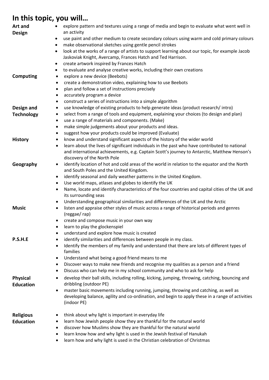## **In this topic, you will…**

| Art and                             | explore pattern and textures using a range of media and begin to evaluate what went well in<br>$\bullet$                                                                                                 |
|-------------------------------------|----------------------------------------------------------------------------------------------------------------------------------------------------------------------------------------------------------|
| Design                              | an activity<br>use paint and other medium to create secondary colours using warm and cold primary colours<br>٠                                                                                           |
|                                     | make observational sketches using gentle pencil strokes<br>$\bullet$                                                                                                                                     |
|                                     | look at the works of a range of artists to support learning about our topic, for example Jacob<br>$\bullet$<br>Jaskoviak Knight, Avercamp, Frances Hatch and Ted Harrison.                               |
|                                     | create artwork inspired by Frances Hatch<br>$\bullet$                                                                                                                                                    |
|                                     | to evaluate and analyse creative works, including their own creations<br>٠                                                                                                                               |
| <b>Computing</b>                    | explore a new device (Beebots)<br>$\bullet$                                                                                                                                                              |
|                                     | create a demonstration video, explaining how to use Beebots<br>٠                                                                                                                                         |
|                                     | plan and follow a set of instructions precisely<br>$\bullet$                                                                                                                                             |
|                                     | accurately program a device<br>٠                                                                                                                                                                         |
|                                     | construct a series of instructions into a simple algorithm<br>٠                                                                                                                                          |
| Design and                          | use knowledge of existing products to help generate ideas (product research/intro)<br>$\bullet$<br>select from a range of tools and equipment, explaining your choices (to design and plan)<br>$\bullet$ |
| <b>Technology</b>                   | use a range of materials and components. (Make)<br>$\bullet$                                                                                                                                             |
|                                     | make simple judgements about your products and ideas.<br>$\bullet$                                                                                                                                       |
|                                     | suggest how your products could be improved (Evaluate)<br>٠                                                                                                                                              |
| <b>History</b>                      | know and understand significant aspects of the history of the wider world<br>٠                                                                                                                           |
|                                     | learn about the lives of significant individuals in the past who have contributed to national<br>$\bullet$                                                                                               |
|                                     | and international achievements, e.g. Captain Scott's journey to Antarctic, Matthew Henson's                                                                                                              |
| Geography                           | discovery of the North Pole<br>identify location of hot and cold areas of the world in relation to the equator and the North<br>$\bullet$                                                                |
|                                     | and South Poles and the United Kingdom.                                                                                                                                                                  |
|                                     | identify seasonal and daily weather patterns in the United Kingdom.<br>٠                                                                                                                                 |
|                                     | Use world maps, atlases and globes to identify the UK<br>$\bullet$                                                                                                                                       |
|                                     | Name, locate and identify characteristics of the four countries and capital cities of the UK and<br>$\bullet$                                                                                            |
|                                     | its surrounding seas                                                                                                                                                                                     |
|                                     | Understanding geographical similarities and differences of the UK and the Arctic<br>٠                                                                                                                    |
| <b>Music</b>                        | listen and appraise other styles of music across a range of historical periods and genres<br>$\bullet$<br>(reggae/rap)                                                                                   |
|                                     | create and compose music in your own way<br>٠                                                                                                                                                            |
|                                     | learn to play the glockenspiel<br>٠                                                                                                                                                                      |
|                                     | understand and explore how music is created                                                                                                                                                              |
| P.S.H.E                             | identify similarities and differences between people in my class.                                                                                                                                        |
|                                     | Identify the members of my family and understand that there are lots of different types of<br>$\bullet$<br>families                                                                                      |
|                                     | Understand what being a good friend means to me<br>٠                                                                                                                                                     |
|                                     | Discover ways to make new friends and recognise my qualities as a person and a friend<br>$\bullet$                                                                                                       |
|                                     | Discuss who can help me in my school community and who to ask for help<br>٠                                                                                                                              |
| <b>Physical</b><br><b>Education</b> | develop their ball skills, including rolling, kicking, jumping, throwing, catching, bouncing and<br>٠<br>dribbling (outdoor PE)                                                                          |
|                                     | master basic movements including running, jumping, throwing and catching, as well as<br>٠                                                                                                                |
|                                     | developing balance, agility and co-ordination, and begin to apply these in a range of activities<br>(indoor PE)                                                                                          |
| <b>Religious</b>                    | think about why light is important in everyday life                                                                                                                                                      |
| <b>Education</b>                    | learn how Jewish people show they are thankful for the natural world<br>٠                                                                                                                                |
|                                     | discover how Muslims show they are thankful for the natural world<br>٠                                                                                                                                   |
|                                     | learn know how and why light is used in the Jewish festival of Hanukah<br>٠                                                                                                                              |
|                                     | learn how and why light is used in the Christian celebration of Christmas<br>٠                                                                                                                           |